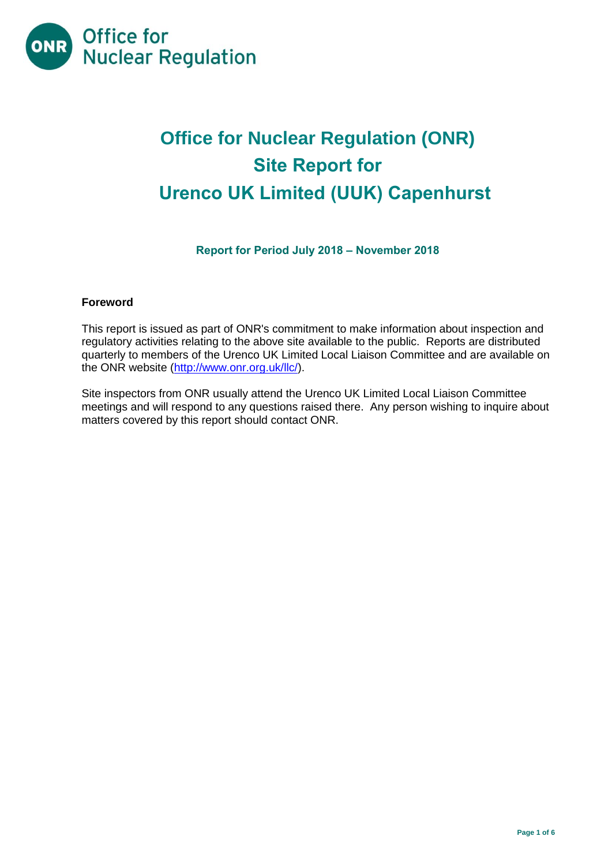

# **Office for Nuclear Regulation (ONR) Site Report for Urenco UK Limited (UUK) Capenhurst**

# **Report for Period July 2018 – November 2018**

#### **Foreword**

This report is issued as part of ONR's commitment to make information about inspection and regulatory activities relating to the above site available to the public. Reports are distributed quarterly to members of the Urenco UK Limited Local Liaison Committee and are available on the ONR website [\(http://www.onr.org.uk/llc/\)](http://www.onr.org.uk/llc/).

Site inspectors from ONR usually attend the Urenco UK Limited Local Liaison Committee meetings and will respond to any questions raised there. Any person wishing to inquire about matters covered by this report should contact ONR.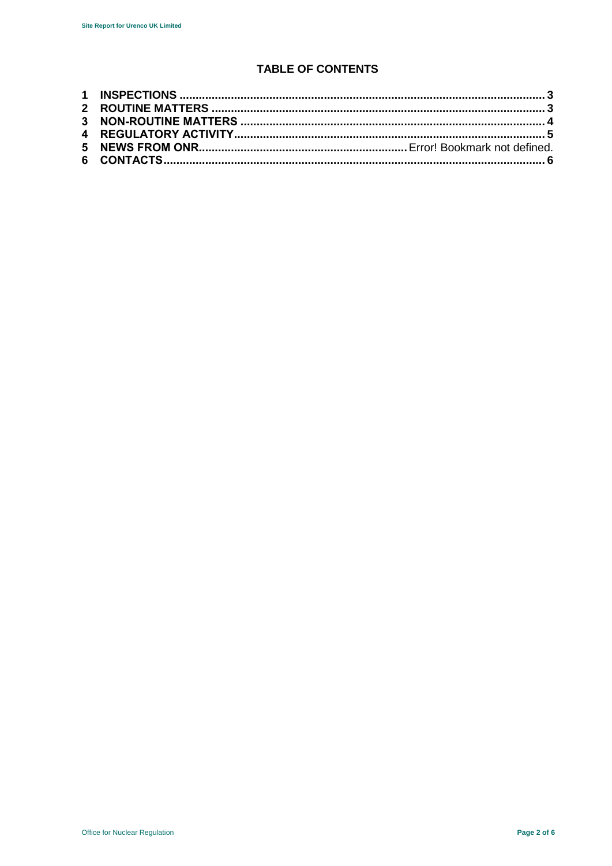# **TABLE OF CONTENTS**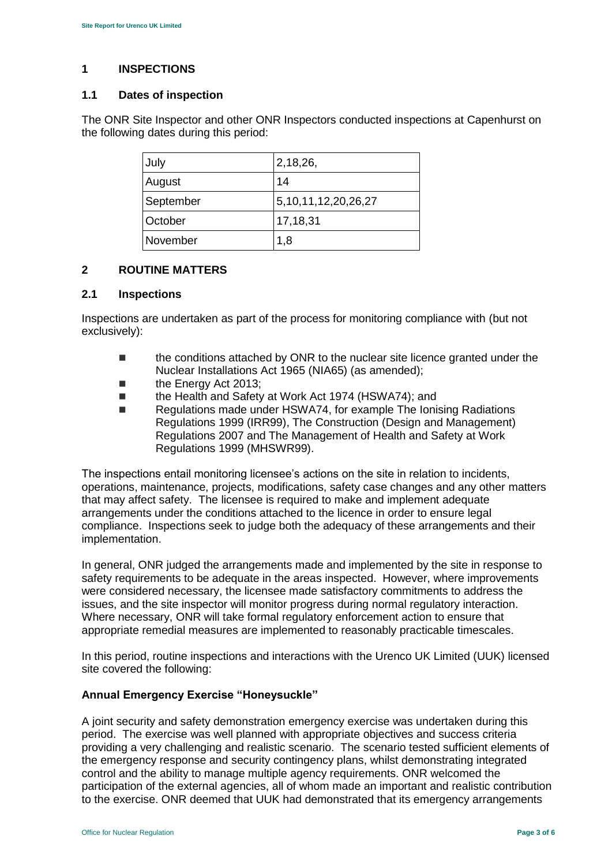# <span id="page-2-0"></span>**1 INSPECTIONS**

## **1.1 Dates of inspection**

The ONR Site Inspector and other ONR Inspectors conducted inspections at Capenhurst on the following dates during this period:

| July      | 2,18,26,                  |
|-----------|---------------------------|
| August    | 14                        |
| September | 5, 10, 11, 12, 20, 26, 27 |
| October   | 17,18,31                  |
| November  | 1,8                       |

## <span id="page-2-1"></span>**2 ROUTINE MATTERS**

## **2.1 Inspections**

Inspections are undertaken as part of the process for monitoring compliance with (but not exclusively):

- **the conditions attached by ONR to the nuclear site licence granted under the** Nuclear Installations Act 1965 (NIA65) (as amended);
- **the Energy Act 2013:**
- the Health and Safety at Work Act 1974 (HSWA74); and
- Regulations made under HSWA74, for example The Ionising Radiations Regulations 1999 (IRR99), The Construction (Design and Management) Regulations 2007 and The Management of Health and Safety at Work Regulations 1999 (MHSWR99).

The inspections entail monitoring licensee's actions on the site in relation to incidents, operations, maintenance, projects, modifications, safety case changes and any other matters that may affect safety. The licensee is required to make and implement adequate arrangements under the conditions attached to the licence in order to ensure legal compliance. Inspections seek to judge both the adequacy of these arrangements and their implementation.

In general, ONR judged the arrangements made and implemented by the site in response to safety requirements to be adequate in the areas inspected. However, where improvements were considered necessary, the licensee made satisfactory commitments to address the issues, and the site inspector will monitor progress during normal regulatory interaction. Where necessary, ONR will take formal regulatory enforcement action to ensure that appropriate remedial measures are implemented to reasonably practicable timescales.

In this period, routine inspections and interactions with the Urenco UK Limited (UUK) licensed site covered the following:

## **Annual Emergency Exercise "Honeysuckle"**

A joint security and safety demonstration emergency exercise was undertaken during this period. The exercise was well planned with appropriate objectives and success criteria providing a very challenging and realistic scenario. The scenario tested sufficient elements of the emergency response and security contingency plans, whilst demonstrating integrated control and the ability to manage multiple agency requirements. ONR welcomed the participation of the external agencies, all of whom made an important and realistic contribution to the exercise. ONR deemed that UUK had demonstrated that its emergency arrangements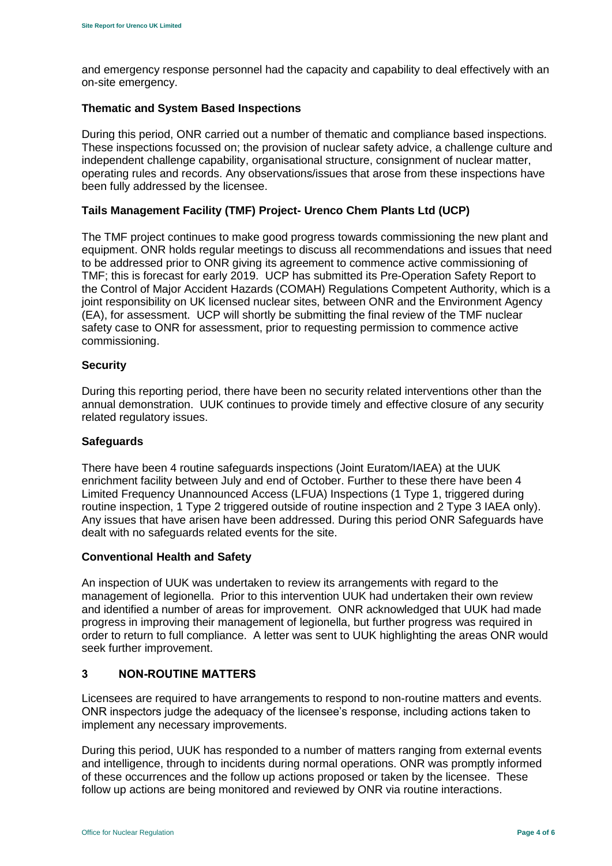and emergency response personnel had the capacity and capability to deal effectively with an on-site emergency.

#### **Thematic and System Based Inspections**

During this period, ONR carried out a number of thematic and compliance based inspections. These inspections focussed on; the provision of nuclear safety advice, a challenge culture and independent challenge capability, organisational structure, consignment of nuclear matter, operating rules and records. Any observations/issues that arose from these inspections have been fully addressed by the licensee.

## **Tails Management Facility (TMF) Project- Urenco Chem Plants Ltd (UCP)**

The TMF project continues to make good progress towards commissioning the new plant and equipment. ONR holds regular meetings to discuss all recommendations and issues that need to be addressed prior to ONR giving its agreement to commence active commissioning of TMF; this is forecast for early 2019. UCP has submitted its Pre-Operation Safety Report to the Control of Major Accident Hazards (COMAH) Regulations Competent Authority, which is a joint responsibility on UK licensed nuclear sites, between ONR and the Environment Agency (EA), for assessment. UCP will shortly be submitting the final review of the TMF nuclear safety case to ONR for assessment, prior to requesting permission to commence active commissioning.

#### **Security**

During this reporting period, there have been no security related interventions other than the annual demonstration. UUK continues to provide timely and effective closure of any security related regulatory issues.

#### **Safeguards**

There have been 4 routine safeguards inspections (Joint Euratom/IAEA) at the UUK enrichment facility between July and end of October. Further to these there have been 4 Limited Frequency Unannounced Access (LFUA) Inspections (1 Type 1, triggered during routine inspection, 1 Type 2 triggered outside of routine inspection and 2 Type 3 IAEA only). Any issues that have arisen have been addressed. During this period ONR Safeguards have dealt with no safeguards related events for the site.

#### **Conventional Health and Safety**

An inspection of UUK was undertaken to review its arrangements with regard to the management of legionella. Prior to this intervention UUK had undertaken their own review and identified a number of areas for improvement. ONR acknowledged that UUK had made progress in improving their management of legionella, but further progress was required in order to return to full compliance. A letter was sent to UUK highlighting the areas ONR would seek further improvement.

## <span id="page-3-0"></span>**3 NON-ROUTINE MATTERS**

Licensees are required to have arrangements to respond to non-routine matters and events. ONR inspectors judge the adequacy of the licensee's response, including actions taken to implement any necessary improvements.

During this period, UUK has responded to a number of matters ranging from external events and intelligence, through to incidents during normal operations. ONR was promptly informed of these occurrences and the follow up actions proposed or taken by the licensee. These follow up actions are being monitored and reviewed by ONR via routine interactions.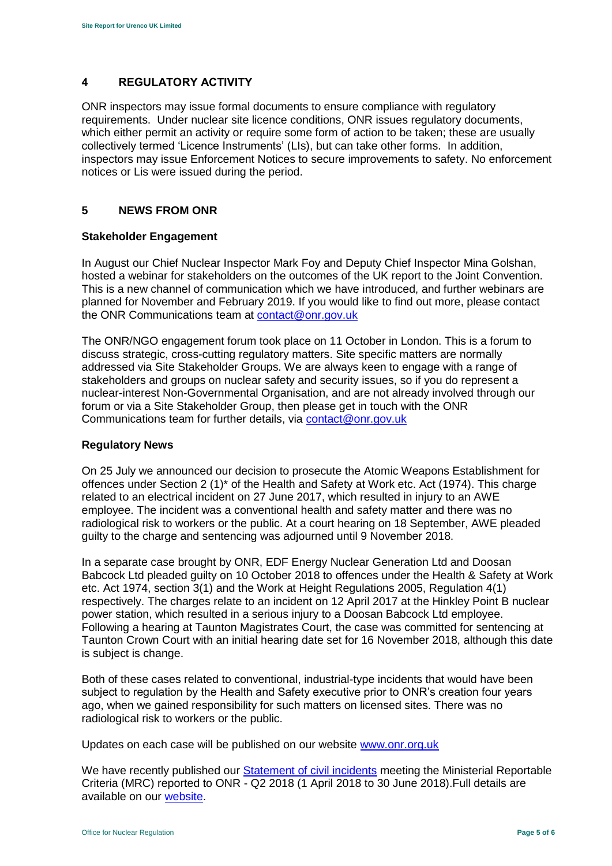## <span id="page-4-0"></span>**4 REGULATORY ACTIVITY**

ONR inspectors may issue formal documents to ensure compliance with regulatory requirements. Under nuclear site licence conditions, ONR issues regulatory documents, which either permit an activity or require some form of action to be taken; these are usually collectively termed 'Licence Instruments' (LIs), but can take other forms. In addition, inspectors may issue Enforcement Notices to secure improvements to safety. No enforcement notices or Lis were issued during the period.

## **5 NEWS FROM ONR**

## **Stakeholder Engagement**

In August our Chief Nuclear Inspector Mark Foy and Deputy Chief Inspector Mina Golshan, hosted a webinar for stakeholders on the outcomes of the UK report to the Joint Convention. This is a new channel of communication which we have introduced, and further webinars are planned for November and February 2019. If you would like to find out more, please contact the ONR Communications team at [contact@onr.gov.uk](mailto:contact@onr.gov.uk)

The ONR/NGO engagement forum took place on 11 October in London. This is a forum to discuss strategic, cross-cutting regulatory matters. Site specific matters are normally addressed via Site Stakeholder Groups. We are always keen to engage with a range of stakeholders and groups on nuclear safety and security issues, so if you do represent a nuclear-interest Non-Governmental Organisation, and are not already involved through our forum or via a Site Stakeholder Group, then please get in touch with the ONR Communications team for further details, via [contact@onr.gov.uk](mailto:contact@onr.gov.uk)

#### **Regulatory News**

On 25 July we announced our decision to prosecute the Atomic Weapons Establishment for offences under Section 2 (1)\* of the Health and Safety at Work etc. Act (1974). This charge related to an electrical incident on 27 June 2017, which resulted in injury to an AWE employee. The incident was a conventional health and safety matter and there was no radiological risk to workers or the public. At a court hearing on 18 September, AWE pleaded guilty to the charge and sentencing was adjourned until 9 November 2018.

In a separate case brought by ONR, EDF Energy Nuclear Generation Ltd and Doosan Babcock Ltd pleaded guilty on 10 October 2018 to offences under the Health & Safety at Work etc. Act 1974, section 3(1) and the Work at Height Regulations 2005, Regulation 4(1) respectively. The charges relate to an incident on 12 April 2017 at the Hinkley Point B nuclear power station, which resulted in a serious injury to a Doosan Babcock Ltd employee. Following a hearing at Taunton Magistrates Court, the case was committed for sentencing at Taunton Crown Court with an initial hearing date set for 16 November 2018, although this date is subject is change.

Both of these cases related to conventional, industrial-type incidents that would have been subject to regulation by the Health and Safety executive prior to ONR's creation four years ago, when we gained responsibility for such matters on licensed sites. There was no radiological risk to workers or the public.

Updates on each case will be published on our website [www.onr.org.uk](http://www.onr.org.uk/)

We have recently published our [Statement of civil incidents](http://www.onr.org.uk/quarterly-stat/2018-2.htm) meeting the Ministerial Reportable Criteria (MRC) reported to ONR - Q2 2018 (1 April 2018 to 30 June 2018).Full details are available on our [website.](http://www.onr.org.uk/quarterly-stat/2018-2.htm)